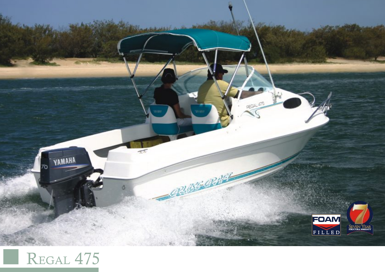

## REGAL 475